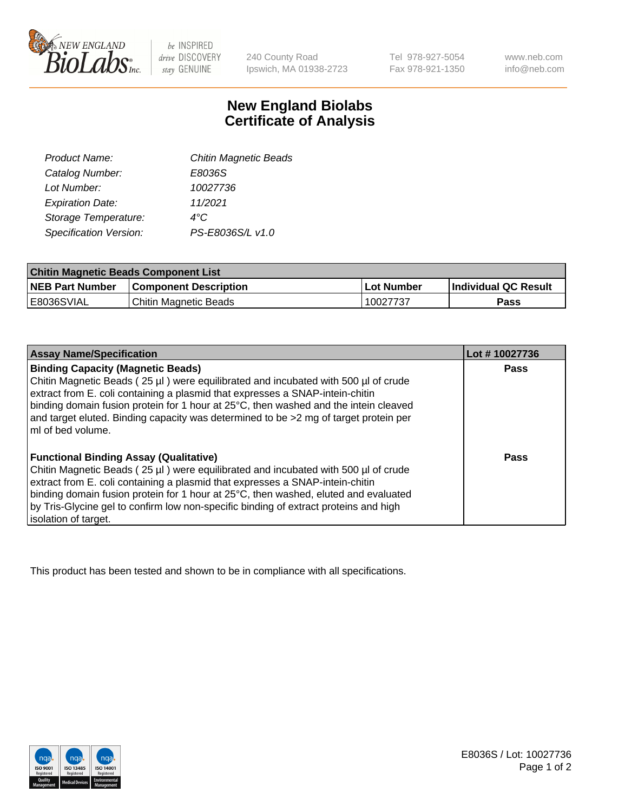

 $be$  INSPIRED drive DISCOVERY stay GENUINE

240 County Road Ipswich, MA 01938-2723

Tel 978-927-5054 Fax 978-921-1350 www.neb.com info@neb.com

## **New England Biolabs Certificate of Analysis**

| <b>Chitin Magnetic Beads</b> |
|------------------------------|
| E8036S                       |
| 10027736                     |
| 11/2021                      |
| 4°C                          |
| PS-E8036S/L v1.0             |
|                              |

| <b>Chitin Magnetic Beads Component List</b> |                              |            |                      |  |
|---------------------------------------------|------------------------------|------------|----------------------|--|
| <b>NEB Part Number</b>                      | <b>Component Description</b> | Lot Number | Individual QC Result |  |
| E8036SVIAL                                  | Chitin Magnetic Beads        | 10027737   | Pass                 |  |

| <b>Assay Name/Specification</b>                                                                                                                                                                                                                                                                                                                                                                                             | Lot #10027736 |
|-----------------------------------------------------------------------------------------------------------------------------------------------------------------------------------------------------------------------------------------------------------------------------------------------------------------------------------------------------------------------------------------------------------------------------|---------------|
| <b>Binding Capacity (Magnetic Beads)</b><br>Chitin Magnetic Beads (25 µl) were equilibrated and incubated with 500 µl of crude<br>extract from E. coli containing a plasmid that expresses a SNAP-intein-chitin                                                                                                                                                                                                             | <b>Pass</b>   |
| binding domain fusion protein for 1 hour at 25°C, then washed and the intein cleaved<br>and target eluted. Binding capacity was determined to be >2 mg of target protein per<br>ml of bed volume.                                                                                                                                                                                                                           |               |
| <b>Functional Binding Assay (Qualitative)</b><br>Chitin Magnetic Beads (25 µl) were equilibrated and incubated with 500 µl of crude<br>extract from E. coli containing a plasmid that expresses a SNAP-intein-chitin<br>binding domain fusion protein for 1 hour at 25°C, then washed, eluted and evaluated<br>by Tris-Glycine gel to confirm low non-specific binding of extract proteins and high<br>isolation of target. | Pass          |

This product has been tested and shown to be in compliance with all specifications.